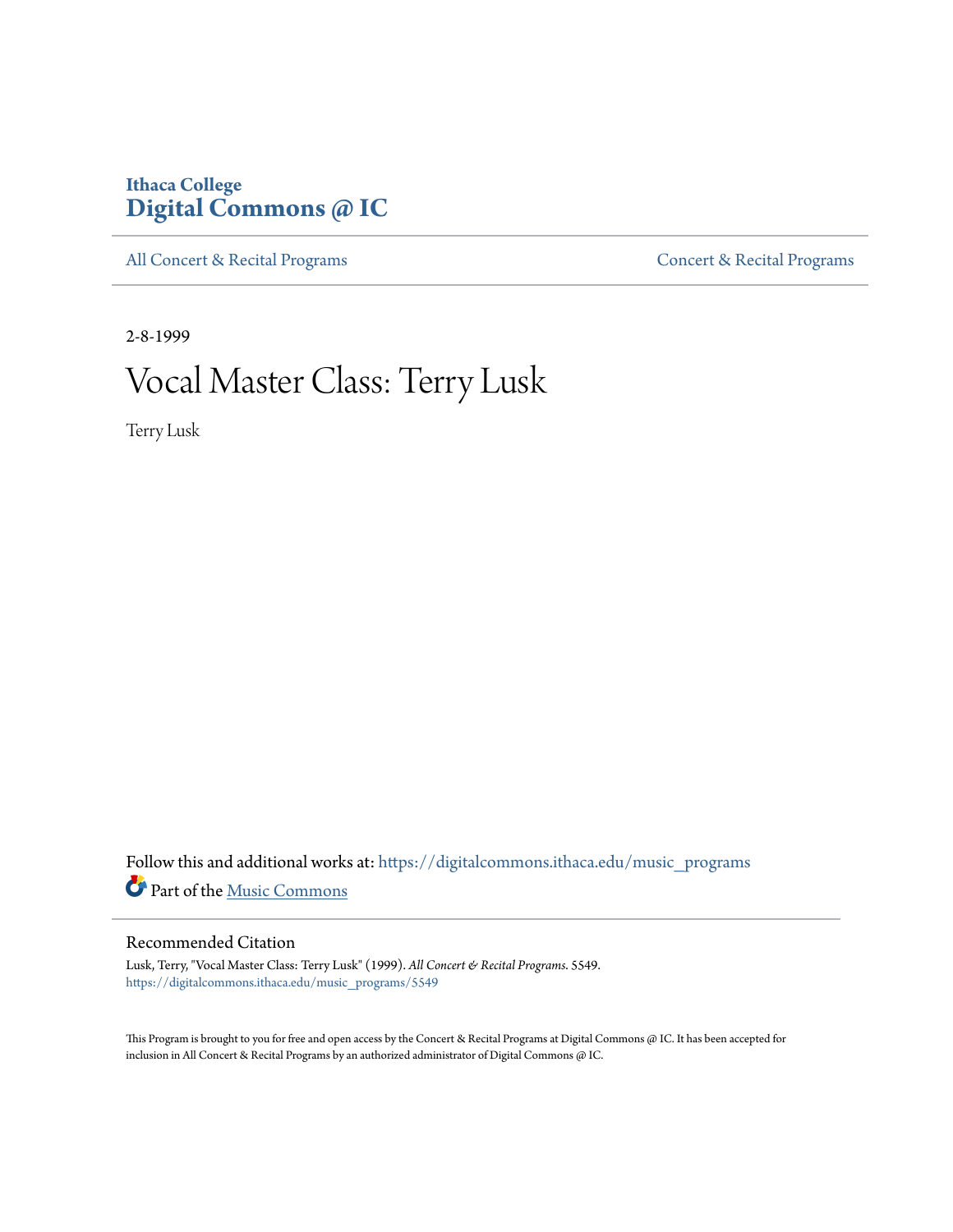## **Ithaca College [Digital Commons @ IC](https://digitalcommons.ithaca.edu?utm_source=digitalcommons.ithaca.edu%2Fmusic_programs%2F5549&utm_medium=PDF&utm_campaign=PDFCoverPages)**

[All Concert & Recital Programs](https://digitalcommons.ithaca.edu/music_programs?utm_source=digitalcommons.ithaca.edu%2Fmusic_programs%2F5549&utm_medium=PDF&utm_campaign=PDFCoverPages) **[Concert & Recital Programs](https://digitalcommons.ithaca.edu/som_programs?utm_source=digitalcommons.ithaca.edu%2Fmusic_programs%2F5549&utm_medium=PDF&utm_campaign=PDFCoverPages)** 

2-8-1999

## Vocal Master Class: Terry Lusk

Terry Lusk

 ${\bf Follow~this~and~additional~works~at:~https://digitalcommons.ithaca.edu/music\_programs}$ Part of the [Music Commons](http://network.bepress.com/hgg/discipline/518?utm_source=digitalcommons.ithaca.edu%2Fmusic_programs%2F5549&utm_medium=PDF&utm_campaign=PDFCoverPages)

## Recommended Citation

Lusk, Terry, "Vocal Master Class: Terry Lusk" (1999). *All Concert & Recital Programs*. 5549. [https://digitalcommons.ithaca.edu/music\\_programs/5549](https://digitalcommons.ithaca.edu/music_programs/5549?utm_source=digitalcommons.ithaca.edu%2Fmusic_programs%2F5549&utm_medium=PDF&utm_campaign=PDFCoverPages)

This Program is brought to you for free and open access by the Concert & Recital Programs at Digital Commons @ IC. It has been accepted for inclusion in All Concert & Recital Programs by an authorized administrator of Digital Commons @ IC.